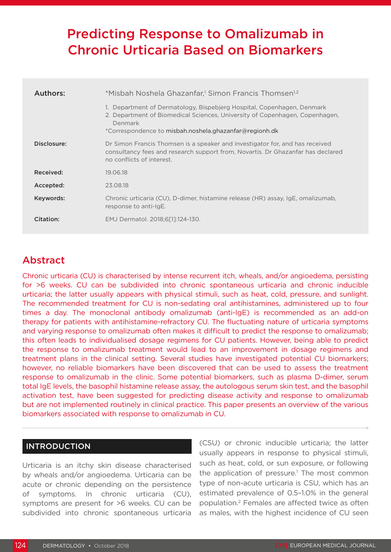# Predicting Response to Omalizumab in Chronic Urticaria Based on Biomarkers

| Authors:    | *Misbah Noshela Ghazanfar, <sup>1</sup> Simon Francis Thomsen <sup>1,2</sup>                                                                                                                                               |  |
|-------------|----------------------------------------------------------------------------------------------------------------------------------------------------------------------------------------------------------------------------|--|
|             | 1. Department of Dermatology, Bispebjerg Hospital, Copenhagen, Denmark<br>2. Department of Biomedical Sciences, University of Copenhagen, Copenhagen,<br>Denmark<br>*Correspondence to misbah.noshela.ghazanfar@regionh.dk |  |
| Disclosure: | Dr Simon Francis Thomsen is a speaker and investigator for, and has received<br>consultancy fees and research support from, Novartis. Dr Ghazanfar has declared<br>no conflicts of interest.                               |  |
| Received:   | 19.06.18                                                                                                                                                                                                                   |  |
| Accepted:   | 23.08.18                                                                                                                                                                                                                   |  |
| Keywords:   | Chronic urticaria (CU), D-dimer, histamine release (HR) assay, IgE, omalizumab,<br>response to anti-lgE.                                                                                                                   |  |
| Citation:   | EMJ Dermatol. 2018;6[1]:124-130.                                                                                                                                                                                           |  |

## Abstract

Chronic urticaria (CU) is characterised by intense recurrent itch, wheals, and/or angioedema, persisting for >6 weeks. CU can be subdivided into chronic spontaneous urticaria and chronic inducible urticaria; the latter usually appears with physical stimuli, such as heat, cold, pressure, and sunlight. The recommended treatment for CU is non-sedating oral antihistamines, administered up to four times a day. The monoclonal antibody omalizumab (anti-IgE) is recommended as an add-on therapy for patients with antihistamine-refractory CU. The fluctuating nature of urticaria symptoms and varying response to omalizumab often makes it difficult to predict the response to omalizumab; this often leads to individualised dosage regimens for CU patients. However, being able to predict the response to omalizumab treatment would lead to an improvement in dosage regimens and treatment plans in the clinical setting. Several studies have investigated potential CU biomarkers; however, no reliable biomarkers have been discovered that can be used to assess the treatment response to omalizumab in the clinic. Some potential biomarkers, such as plasma D-dimer, serum total IgE levels, the basophil histamine release assay, the autologous serum skin test, and the basophil activation test, have been suggested for predicting disease activity and response to omalizumab but are not implemented routinely in clinical practice. This paper presents an overview of the various biomarkers associated with response to omalizumab in CU.

## INTRODUCTION

Urticaria is an itchy skin disease characterised by wheals and/or angioedema. Urticaria can be acute or chronic depending on the persistence of symptoms. In chronic urticaria (CU), symptoms are present for >6 weeks. CU can be subdivided into chronic spontaneous urticaria (CSU) or chronic inducible urticaria; the latter usually appears in response to physical stimuli, such as heat, cold, or sun exposure, or following the application of pressure.<sup>1</sup> The most common type of non-acute urticaria is CSU, which has an estimated prevalence of 0.5–1.0% in the general population.2 Females are affected twice as often as males, with the highest incidence of CU seen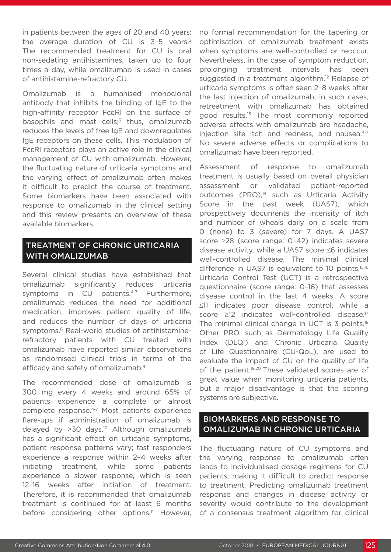in patients between the ages of 20 and 40 years; the average duration of CU is  $3-5$  years.<sup>2</sup> The recommended treatment for CU is oral non-sedating antihistamines, taken up to four times a day, while omalizumab is used in cases of antihistamine-refractory CU.1

Omalizumab is a humanised monoclonal antibody that inhibits the binding of IgE to the high-affinity receptor FcεRI on the surface of basophils and mast cells;<sup>3</sup> thus, omalizumab reduces the levels of free IgE and downregulates IgE receptors on these cells. This modulation of FcεRI receptors plays an active role in the clinical management of CU with omalizumab. However, the fluctuating nature of urticaria symptoms and the varying effect of omalizumab often makes it difficult to predict the course of treatment. Some biomarkers have been associated with response to omalizumab in the clinical setting and this review presents an overview of these available biomarkers.

## TREATMENT OF CHRONIC URTICARIA WITH OMALIZUMAB

Several clinical studies have established that omalizumab significantly reduces urticaria symptoms in CU patients.<sup>4-7</sup> Furthermore. omalizumab reduces the need for additional medication, improves patient quality of life, and reduces the number of days of urticaria symptoms.<sup>8</sup> Real-world studies of antihistaminerefractory patients with CU treated with omalizumab have reported similar observations as randomised clinical trials in terms of the efficacy and safety of omalizumab.<sup>9</sup>

The recommended dose of omalizumab is 300 mg every 4 weeks and around 65% of patients experience a complete or almost complete response.4-7 Most patients experience flare-ups if administration of omalizumab is delayed by >30 days.<sup>10</sup> Although omalizumab has a significant effect on urticaria symptoms, patient response patterns vary; fast responders experience a response within 2–4 weeks after initiating treatment, while some patients experience a slower response, which is seen 12–16 weeks after initiation of treatment. Therefore, it is recommended that omalizumab treatment is continued for at least 6 months before considering other options.<sup>11</sup> However,

no formal recommendation for the tapering or optimisation of omalizumab treatment exists when symptoms are well-controlled or reoccur. Nevertheless, in the case of symptom reduction, prolonging treatment intervals has been suggested in a treatment algorithm.<sup>12</sup> Relapse of urticaria symptoms is often seen 2–8 weeks after the last injection of omalizumab; in such cases, retreatment with omalizumab has obtained good results.13 The most commonly reported adverse effects with omalizumab are headache, injection site itch and redness, and nausea.<sup>4-7</sup> No severe adverse effects or complications to omalizumab have been reported.

Assessment of response to omalizumab treatment is usually based on overall physician assessment or validated patient-reported outcomes (PRO),<sup>14</sup> such as Urticaria Activity Score in the past week (UAS7), which prospectively documents the intensity of itch and number of wheals daily on a scale from 0 (none) to 3 (severe) for 7 days. A UAS7 score ≥28 (score range: 0–42) indicates severe disease activity, while a UAS7 score ≤6 indicates well-controlled disease. The minimal clinical difference in UAS7 is equivalent to 10 points.<sup>15,16</sup> Urticaria Control Test (UCT) is a retrospective questionnaire (score range: 0–16) that assesses disease control in the last 4 weeks. A score ≤11 indicates poor disease control, while a score ≥12 indicates well-controlled disease.<sup>17</sup> The minimal clinical change in UCT is 3 points.<sup>18</sup> Other PRO, such as Dermatology Life Quality Index (DLQI) and Chronic Urticaria Quality of Life Questionnaire (CU-QoL), are used to evaluate the impact of CU on the quality of life of the patient.<sup>19,20</sup> These validated scores are of great value when monitoring urticaria patients, but a major disadvantage is that the scoring systems are subjective.

### BIOMARKERS AND RESPONSE TO OMALIZUMAB IN CHRONIC URTICARIA

The fluctuating nature of CU symptoms and the varying response to omalizumab often leads to individualised dosage regimens for CU patients, making it difficult to predict response to treatment. Predicting omalizumab treatment response and changes in disease activity or severity would contribute to the development of a consensus treatment algorithm for clinical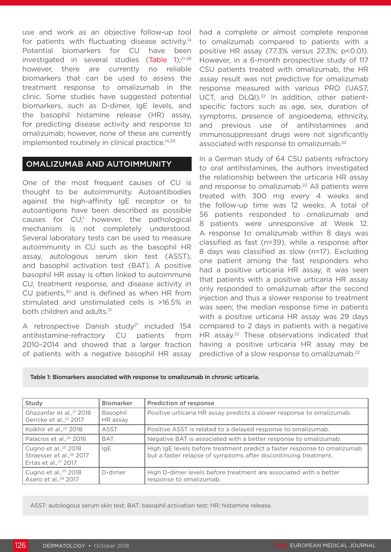use and work as an objective follow-up tool for patients with fluctuating disease activity.14 Potential biomarkers for CU have been investigated in several studies (Table 1);21-28 however, there are currently no reliable biomarkers that can be used to assess the treatment response to omalizumab in the clinic. Some studies have suggested potential biomarkers, such as D-dimer, IgE levels, and the basophil histamine release (HR) assay, for predicting disease activity and response to omalizumab; however, none of these are currently implemented routinely in clinical practice.<sup>14,29</sup>

#### OMALIZUMAB AND AUTOIMMUNITY

One of the most frequent causes of CU is thought to be autoimmunity. Autoantibodies against the high-affinity IgE receptor or to autoantigens have been described as possible causes for CU;<sup>1</sup> however, the pathological mechanism is not completely understood. Several laboratory tests can be used to measure autoimmunity in CU such as the basophil HR assay, autologous serum skin test (ASST), and basophil activation test (BAT). A positive basophil HR assay is often linked to autoimmune CU, treatment response, and disease activity in CU patients, $30$  and is defined as when HR from stimulated and unstimulated cells is >16.5% in both children and adults.<sup>31</sup>

A retrospective Danish study<sup>21</sup> included 154 antihistamine-refractory CU patients from 2010–2014 and showed that a larger fraction of patients with a negative basophil HR assay had a complete or almost complete response to omalizumab compared to patients with a positive HR assay (77.3% versus 27.3%; p<0.01). However, in a 6-month prospective study of 117 CSU patients treated with omalizumab, the HR assay result was not predictive for omalizumab response measured with various PRO (UAS7, UCT, and DLQI).<sup>32</sup> In addition, other patientspecific factors such as age, sex, duration of symptoms, presence of angioedema, ethnicity, and previous use of antihistamines and immunosuppressant drugs were not significantly associated with response to omalizumab.<sup>32</sup>

In a German study of 64 CSU patients refractory to oral antihistamines, the authors investigated the relationship between the urticaria HR assay and response to omalizumab.<sup>22</sup> All patients were treated with 300 mg every 4 weeks and the follow-up time was 12 weeks. A total of 56 patients responded to omalizumab and 8 patients were unresponsive at Week 12. A response to omalizumab within 8 days was classified as fast (n=39), while a response after 8 days was classified as slow (n=17). Excluding one patient among the fast responders who had a positive urticaria HR assay, it was seen that patients with a positive urticaria HR assay only responded to omalizumab after the second injection and thus a slower response to treatment was seen; the median response time in patients with a positive urticaria HR assay was 29 days compared to 2 days in patients with a negative HR assay.<sup>22</sup> These observations indicated that having a positive urticaria HR assay may be predictive of a slow response to omalizumab.22

Table 1: Biomarkers associated with response to omalizumab in chronic urticaria.

| Study                                                                                                        | <b>Biomarker</b>     | Prediction of response                                                                                                                      |
|--------------------------------------------------------------------------------------------------------------|----------------------|---------------------------------------------------------------------------------------------------------------------------------------------|
| Ghazanfar et al., <sup>21</sup> 2016<br>Gericke et al., <sup>22</sup> 2017                                   | Basophil<br>HR assay | Positive urticaria HR assay predicts a slower response to omalizumab.                                                                       |
| Kolkhir et al., <sup>23</sup> 2018                                                                           | ASST                 | Positive ASST is related to a delayed response to omalizumab.                                                                               |
| Palacios et al., <sup>24</sup> 2016                                                                          | <b>BAT</b>           | Negative BAT is associated with a better response to omalizumab.                                                                            |
| Cugno et al., <sup>25</sup> 2018<br>Straesser et al., <sup>26</sup> 2017<br>Ertas et al., <sup>27</sup> 2017 | <b>IgE</b>           | High IgE levels before treatment predict a faster response to omalizumab<br>but a faster relapse of symptoms after discontinuing treatment. |
| Cugno et al., <sup>25</sup> 2018<br>Asero et al., <sup>28</sup> 2017                                         | D-dimer              | High D-dimer levels before treatment are associated with a better<br>response to omalizumab.                                                |

ASST: autologous serum skin test; BAT: basophil activation test; HR: histamine release.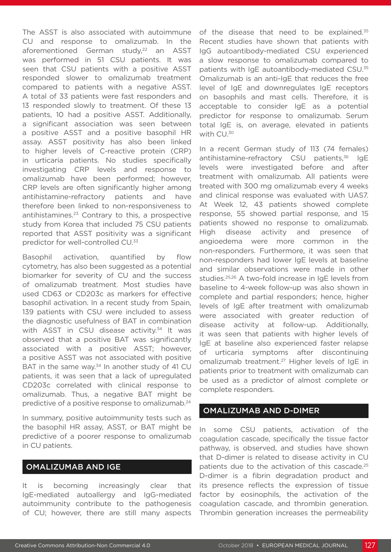The ASST is also associated with autoimmune CU and response to omalizumab. In the aforementioned German study,<sup>22</sup> an ASST was performed in 51 CSU patients. It was seen that CSU patients with a positive ASST responded slower to omalizumab treatment compared to patients with a negative ASST. A total of 33 patients were fast responders and 13 responded slowly to treatment. Of these 13 patients, 10 had a positive ASST. Additionally, a significant association was seen between a positive ASST and a positive basophil HR assay. ASST positivity has also been linked to higher levels of C-reactive protein (CRP) in urticaria patients. No studies specifically investigating CRP levels and response to omalizumab have been performed; however, CRP levels are often significantly higher among antihistamine-refractory patients and have therefore been linked to non-responsiveness to antihistamines.23 Contrary to this, a prospective study from Korea that included 75 CSU patients reported that ASST positivity was a significant predictor for well-controlled CU.33

Basophil activation, quantified by flow cytometry, has also been suggested as a potential biomarker for severity of CU and the success of omalizumab treatment. Most studies have used CD63 or CD203c as markers for effective basophil activation. In a recent study from Spain, 139 patients with CSU were included to assess the diagnostic usefulness of BAT in combination with ASST in CSU disease activity.<sup>34</sup> It was observed that a positive BAT was significantly associated with a positive ASST; however, a positive ASST was not associated with positive BAT in the same way. $34$  In another study of 41 CU patients, it was seen that a lack of upregulated CD203c correlated with clinical response to omalizumab. Thus, a negative BAT might be predictive of a positive response to omalizumab.<sup>24</sup>

In summary, positive autoimmunity tests such as the basophil HR assay, ASST, or BAT might be predictive of a poorer response to omalizumab in CU patients.

#### OMALIZUMAB AND IGE

It is becoming increasingly clear that IgE-mediated autoallergy and IgG-mediated autoimmunity contribute to the pathogenesis of CU; however, there are still many aspects

of the disease that need to be explained.<sup>35</sup> Recent studies have shown that patients with IgG autoantibody-mediated CSU experienced a slow response to omalizumab compared to patients with IgE autoantibody-mediated CSU.35 Omalizumab is an anti-IgE that reduces the free level of IgE and downregulates IgE receptors on basophils and mast cells. Therefore, it is acceptable to consider IgE as a potential predictor for response to omalizumab. Serum total IgE is, on average, elevated in patients with CU.30

In a recent German study of 113 (74 females) antihistamine-refractory CSU patients,<sup>36</sup> IgE levels were investigated before and after treatment with omalizumab. All patients were treated with 300 mg omalizumab every 4 weeks and clinical response was evaluated with UAS7. At Week 12, 43 patients showed complete response, 55 showed partial response, and 15 patients showed no response to omalizumab. High disease activity and presence of angioedema were more common in the non-responders. Furthermore, it was seen that non-responders had lower IgE levels at baseline and similar observations were made in other studies.25,26 A two-fold increase in IgE levels from baseline to 4-week follow-up was also shown in complete and partial responders; hence, higher levels of IgE after treatment with omalizumab were associated with greater reduction of disease activity at follow-up. Additionally, it was seen that patients with higher levels of IgE at baseline also experienced faster relapse of urticaria symptoms after discontinuing omalizumab treatment.27 Higher levels of IgE in patients prior to treatment with omalizumab can be used as a predictor of almost complete or complete responders.

#### OMALIZUMAB AND D-DIMER

In some CSU patients, activation of the coagulation cascade, specifically the tissue factor pathway, is observed, and studies have shown that D-dimer is related to disease activity in CU patients due to the activation of this cascade.<sup>25</sup> D-dimer is a fibrin degradation product and its presence reflects the expression of tissue factor by eosinophils, the activation of the coagulation cascade, and thrombin generation. Thrombin generation increases the permeability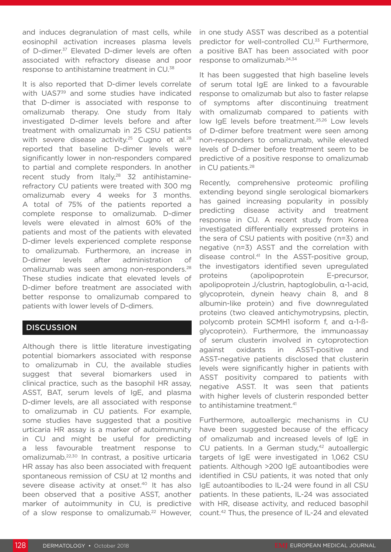and induces degranulation of mast cells, while eosinophil activation increases plasma levels of D-dimer.<sup>37</sup> Elevated D-dimer levels are often associated with refractory disease and poor response to antihistamine treatment in CU.38

It is also reported that D-dimer levels correlate with UAS7<sup>39</sup> and some studies have indicated that D-dimer is associated with response to omalizumab therapy. One study from Italy investigated D-dimer levels before and after treatment with omalizumab in 25 CSU patients with severe disease activity.<sup>25</sup> Cugno et al.<sup>28</sup> reported that baseline D-dimer levels were significantly lower in non-responders compared to partial and complete responders. In another recent study from Italy, $28$  32 antihistaminerefractory CU patients were treated with 300 mg omalizumab every 4 weeks for 3 months. A total of 75% of the patients reported a complete response to omalizumab. D-dimer levels were elevated in almost 60% of the patients and most of the patients with elevated D-dimer levels experienced complete response to omalizumab. Furthermore, an increase in D-dimer levels after administration of omalizumab was seen among non-responders.<sup>28</sup> These studies indicate that elevated levels of D-dimer before treatment are associated with better response to omalizumab compared to patients with lower levels of D-dimers.

#### **DISCUSSION**

Although there is little literature investigating potential biomarkers associated with response to omalizumab in CU, the available studies suggest that several biomarkers used in clinical practice, such as the basophil HR assay, ASST, BAT, serum levels of IgE, and plasma D-dimer levels, are all associated with response to omalizumab in CU patients. For example, some studies have suggested that a positive urticaria HR assay is a marker of autoimmunity in CU and might be useful for predicting a less favourable treatment response to omalizumab.22,30 In contrast, a positive urticaria HR assay has also been associated with frequent spontaneous remission of CSU at 12 months and severe disease activity at onset.<sup>40</sup> It has also been observed that a positive ASST, another marker of autoimmunity in CU, is predictive of a slow response to omalizumab.<sup>22</sup> However, in one study ASST was described as a potential predictor for well-controlled CU.<sup>33</sup> Furthermore, a positive BAT has been associated with poor response to omalizumab.24,34

It has been suggested that high baseline levels of serum total IgE are linked to a favourable response to omalizumab but also to faster relapse of symptoms after discontinuing treatment with omalizumab compared to patients with low IgE levels before treatment.<sup>25,26</sup> Low levels of D-dimer before treatment were seen among non-responders to omalizumab, while elevated levels of D-dimer before treatment seem to be predictive of a positive response to omalizumab in CU patients.28

Recently, comprehensive proteomic profiling extending beyond single serological biomarkers has gained increasing popularity in possibly predicting disease activity and treatment response in CU. A recent study from Korea investigated differentially expressed proteins in the sera of CSU patients with positive (n=3) and negative (n=3) ASST and the correlation with disease control.41 In the ASST-positive group, the investigators identified seven upregulated proteins (apolipoprotein E-precursor, apolipoprotein J/clustrin, haptoglobulin, α-1-acid, glycoprotein, dynein heavy chain 8, and 8 albumin-like protein) and five downregulated proteins (two cleaved antichymotrypsins, plectin, polycomb protein SCMH1 isoform f, and α-1-ßglycoprotein). Furthermore, the immunoassay of serum clusterin involved in cytoprotection against oxidants in ASST-positive and ASST-negative patients disclosed that clusterin levels were significantly higher in patients with ASST positivity compared to patients with negative ASST. It was seen that patients with higher levels of clusterin responded better to antihistamine treatment.<sup>41</sup>

Furthermore, autoallergic mechanisms in CU have been suggested because of the efficacy of omalizumab and increased levels of IgE in CU patients. In a German study, $42$  autoallergic targets of IgE were investigated in 1,062 CSU patients. Although >200 IgE autoantibodies were identified in CSU patients, it was noted that only IgE autoantibodies to IL-24 were found in all CSU patients. In these patients, IL-24 was associated with HR, disease activity, and reduced basophil count.42 Thus, the presence of IL-24 and elevated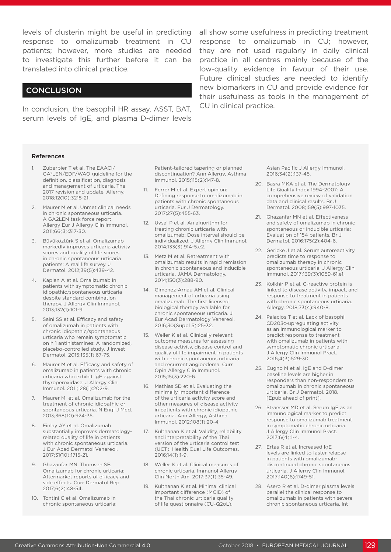levels of clusterin might be useful in predicting all show some usefulness in predicting treatment response to omalizumab treatment in CU patients; however, more studies are needed to investigate this further before it can be translated into clinical practice.

#### **CONCLUSION**

In conclusion, the basophil HR assay, ASST, BAT, serum levels of IgE, and plasma D-dimer levels

response to omalizumab in CU; however, they are not used regularly in daily clinical practice in all centres mainly because of the low-quality evidence in favour of their use. Future clinical studies are needed to identify new biomarkers in CU and provide evidence for their usefulness as tools in the management of CU in clinical practice.

#### References

- Zuberbier T et al. The EAACI/ GA2LEN/EDF/WAO guideline for the definition, classification, diagnosis and management of urticaria. The 2017 revision and update. Allergy. 2018;12(10):3218-21.
- 2. Maurer M et al. Unmet clinical needs in chronic spontaneous urticaria. A GA2LEN task force report. Allergy Eur J Allergy Clin Immunol. 2011;66(3):317-30.
- 3. Büyüköztürk S et al. Omalizumab markedly improves urticaria activity scores and quality of life scores in chronic spontaneous urticaria patients: A real life survey. J Dermatol. 2012;39(5):439-42.
- 4. Kaplan A et al. Omalizumab in patients with symptomatic chronic idiopathic/spontaneous urticaria despite standard combination therapy. J Allergy Clin Immunol. 2013;132(1):101-9.
- 5. Saini SS et al. Efficacy and safety of omalizumab in patients with chronic idiopathic/spontaneous urticaria who remain symptomatic on h 1 antihistamines: A randomized, placebo-controlled study. J Invest Dermatol. 2015;135(1):67-75.
- 6. Maurer M et al. Efficacy and safety of omalizumab in patients with chronic urticaria who exhibit IgE against thyroperoxidase. J Allergy Clin Immunol. 2011;128(1):202-9.
- 7. Maurer M et al. Omalizumab for the treatment of chronic idiopathic or spontaneous urticaria. N Engl J Med. 2013;368(10):924-35.
- 8. Finlay AY et al. Omalizumab substantially improves dermatologyrelated quality of life in patients with chronic spontaneous urticaria. J Eur Acad Dermatol Venereol. 2017;31(10):1715-21.
- 9. Ghazanfar MN, Thomsen SF. Omalizumab for chronic urticaria: Aftermarket reports of efficacy and side effects. Curr Dermatol Rep. 2017;6(2):48-54.
- 10. Tontini C et al. Omalizumab in chronic spontaneous urticaria:

Patient-tailored tapering or planned discontinuation? Ann Allergy, Asthma Immunol. 2015;115(2):147-8.

- 11. Ferrer M et al. Expert opinion: Defining response to omalizumab in patients with chronic spontaneous urticaria. Eur J Dermatology. 2017;27(5):455-63.
- 12. Uysal P et al. An algorithm for treating chronic urticaria with omalizumab: Dose interval should be individualized. J Allergy Clin Immunol. 2014;133(3):914-5.e2.
- 13. Metz M et al. Retreatment with omalizumab results in rapid remission in chronic spontaneous and inducible urticaria. JAMA Dermatology. 2014;150(3):288-90.
- 14. Giménez-Arnau AM et al. Clinical management of urticaria using omalizumab: The first licensed biological therapy available for chronic spontaneous urticaria. J Eur Acad Dermatology Venereol. 2016;30(Suppl 5):25-32.
- 15. Weller K et al. Clinically relevant outcome measures for assessing disease activity, disease control and quality of life impairment in patients with chronic spontaneous urticaria and recurrent angioedema. Curr Opin Allergy Clin Immunol. 2015;15(3):220-6.
- 16. Mathias SD et al. Evaluating the minimally important difference of the urticaria activity score and other measures of disease activity in patients with chronic idiopathic urticaria. Ann Allergy, Asthma Immunol. 2012;108(1):20-4.
- 17. Kulthanan K et al. Validity, reliability and interpretability of the Thai version of the urticaria control test (UCT). Health Qual Life Outcomes. 2016;14(1):1-9.
- 18. Weller K et al. Clinical measures of chronic urticaria. Immunol Allergy Clin North Am. 2017;37(1):35-49.
- 19. Kulthanan K et al. Minimal clinical important difference (MCID) of the Thai chronic urticaria quality of life questionnaire (CU-Q2oL).

Asian Pacific J Allergy Immunol. 2016;34(2):137-45.

- 20. Basra MKA et al. The Dermatology Life Quality Index 1994-2007: A comprehensive review of validation data and clinical results. Br J Dermatol. 2008;159(5):997-1035.
- 21. Ghazanfar MN et al. Effectiveness and safety of omalizumab in chronic spontaneous or inducible urticaria: Evaluation of 154 patients. Br J Dermatol. 2016;175(2):404-6.
- 22. Gericke J et al. Serum autoreactivity predicts time to response to omalizumab therapy in chronic spontaneous urticaria. J Allergy Clin Immunol. 2017;139(3):1059-61.e1.
- 23. Kolkhir P et al. C-reactive protein is linked to disease activity, impact, and response to treatment in patients with chronic spontaneous urticaria. Allergy. 2018;73(4):940-8.
- 24. Palacios T et al. Lack of basophil CD203c-upregulating activity as an immunological marker to predict response to treatment with omalizumab in patients with symptomatic chronic urticaria. J Allergy Clin Immunol Pract. 2016;4(3):529-30.
- 25. Cugno M et al. IgE and D-dimer baseline levels are higher in responders than non-responders to omalizumab in chronic spontaneous urticaria. Br J Dermatol. 2018. [Epub ahead of print].
- 26. Straesser MD et al. Serum IgE as an immunological marker to predict response to omalizumab treatment in symptomatic chronic urticaria. J Allergy Clin Immunol Pract. 2017;6(4):1-4.
- 27. Ertas R et al. Increased IgE levels are linked to faster relapse in patients with omalizumabdiscontinued chronic spontaneous urticaria. J Allergy Clin Immunol. 2017;140(6):1749-51.
- 28. Asero R et al. D-dimer plasma levels parallel the clinical response to omalizumab in patients with severe chronic spontaneous urticaria. Int